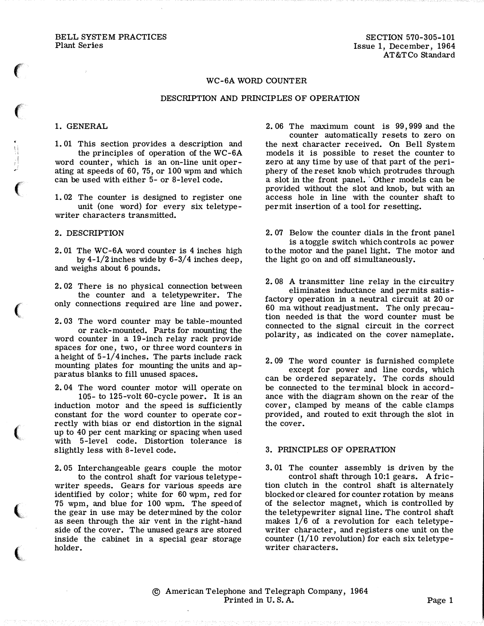BELL SYSTEM PRACTICES Plant Series

### WC-6A WORD COUNTER

#### DESCRIPTION AND PRINCIPLES OF OPERATION

# 1. GENERAL

 $\epsilon$ 

 $\epsilon$ 

 $\prod_{i=1}^n$ I

 $\left($ 

 $\big($ 

 $\big($ 

 $\left($ 

 $\big($ 

1. 01 This section provides a description and the principles of operation of the WC-6A word counter, which is an on-line unit operating at speeds of 60, 75, or 100 wpm and which can be used with either 5- or 8-level code.

1. 02 The counter is designed to register one unit (one word) for every six teletypewriter characters transmitted.

### 2. DESCRIPTION

2. 01 The WC-6A word counter is 4 inches high by  $4-1/2$  inches wide by  $6-3/4$  inches deep, and weighs about 6 pounds.

2. 02 There is no physical connection between the counter and a teletypewriter. The only connections required are line and power.

2. 03 The word counter may be table-mounted or rack-mounted. Parts for mounting the word counter in a 19-inch relay rack provide spaces for one, two, or three word counters in a height of 5-1/4 inches. The parts include rack mounting plates for mounting the units and apparatus blanks to fill unused spaces.

2. 04 The word counter motor will operate on 105- to 125-volt 60-cycle power. It is an induction motor and the speed is sufficiently constant for the word counter to operate correctly with bias or end distortion in the signal up to 40 per cent marking or spacing when used with 5-level code. Distortion tolerance is slightly less with 8-level code.

2. 05 Interchangeable gears couple the motor to the control shaft for various teletypewriter speeds. Gears for various speeds are identified by color; white for 60 wpm, red for 75 wpm, and blue for 100 wpm. The speed of the gear in use may be determined by the color as seen through the air vent in the right-hand side of the cover. The unused gears are stored inside the cabinet in a special gear storage holder.

2. 06 The maximum count is 99,999 and the

counter automatically resets to zero on the next character received. On Bell System models it is possible to reset the counter to zero at any time by use of that part of the periphery of the reset knob which protrudes through a slot in the front panel. Other models can be provided without the slot and knob, but with an access hole in line with the counter shaft to permit insertion of a tool for resetting.

2. 07 Below the counter dials in the front panel is a toggle switch which controls ac power to the motor and the panel light. The motor and the light go on and off simultaneously.

2. 08 A transmitter line relay in the circuitry eliminates inductance and permits satisfactory operation in a neutral circuit at 20 or 60 ma without readjustment. The only precaution needed is that the word counter must be connected to the signal circuit in the correct polarity, as indicated on the cover nameplate.

2. 09 The word counter is furnished complete except for power and line cords, which can be ordered separately. The cords should be connected to the terminal block in accordance with the diagram shown on the rear of the cover, clamped by means of the cable clamps provided, and routed to exit through the slot in

## 3. PRINCIPLES OF OPERATION

the cover.

3. 01 The counter assembly is driven by the control shaft through 10:1 gears. A friction clutch in the control shaft is alternately blocked or cleared for counter rotation by means of the selector magnet, which is controlled by the teletypewriter signal line. The control shaft makes 1/6 of a revolution for each teletypewriter character, and registers one unit on the counter (1/10 revolution) for each six teletypewriter characters.

© American Telephone and Telegraph Company, 1964 Printed in U.S.A. Page 1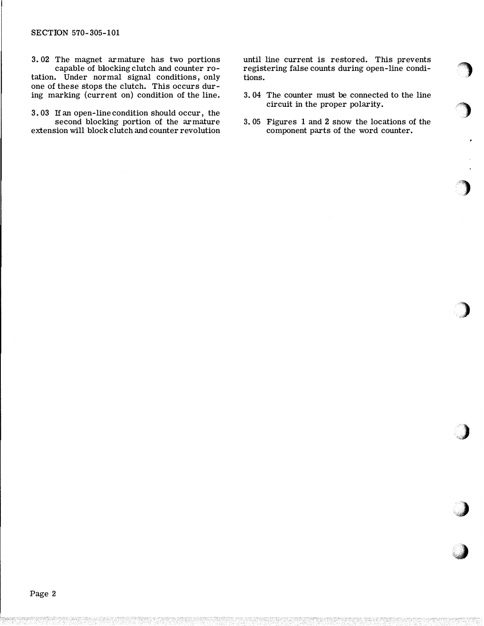3. 02 The magnet armature has two portions capable of blocking clutch and counter ro-

tation. Under normal signal conditions, only one of these stops the clutch. This occurs during marking (current on) condition of the line.

3. 03 If an open -line condition should occur, the second blocking portion of the armature extension will block clutch and counter revolution until line current is restored. This prevents registering false counts during open-line conditions.

- 3. 04 The counter must be connected to the line circuit in the proper polarity.
- 3. 05 Figures 1 and 2 show the locations of the component parts of the word counter.

,) ''")'�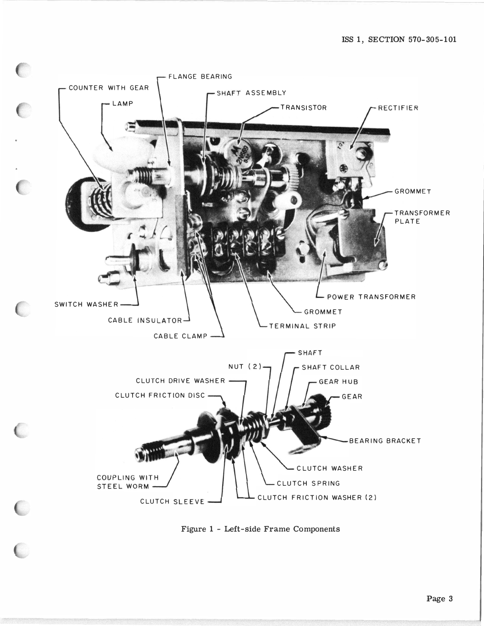

Figure 1 - Left-side Frame Components